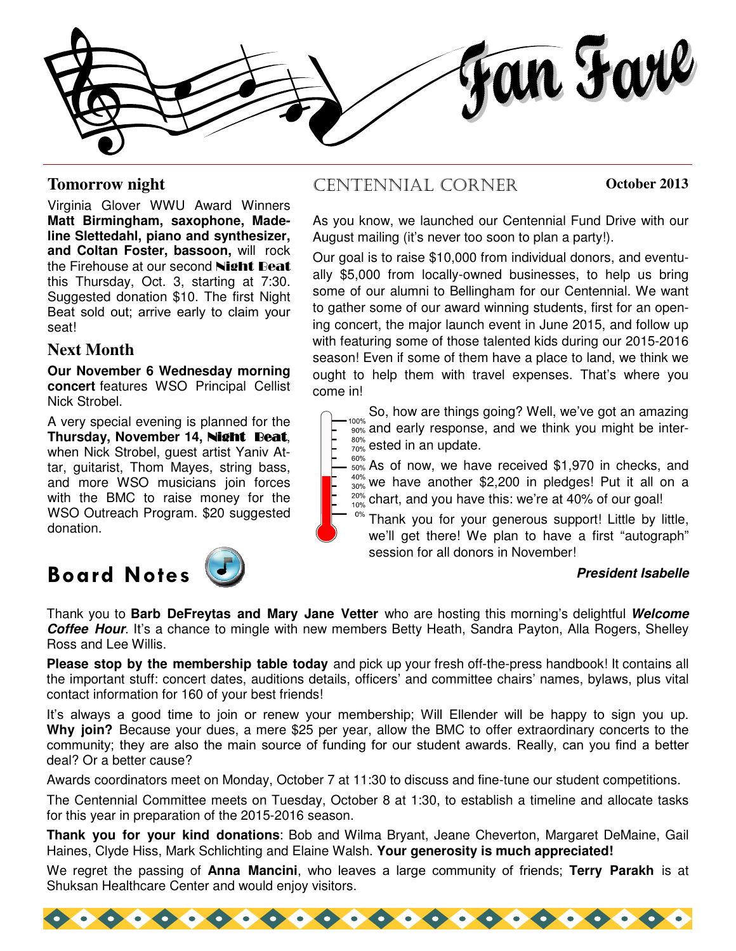fan Farl

Virginia Glover WWU Award Winners **Matt Birmingham, saxophone, Madeline Slettedahl, piano and synthesizer, and Coltan Foster, bassoon,** will rock the Firehouse at our second Night Beat this Thursday, Oct. 3, starting at 7:30. Suggested donation \$10. The first Night Beat sold out; arrive early to claim your seat!

### **Next Month**

**Our November 6 Wednesday morning concert** features WSO Principal Cellist Nick Strobel.

A very special evening is planned for the **Thursday, November 14,** Night Beat, when Nick Strobel, guest artist Yaniv Attar, guitarist, Thom Mayes, string bass, and more WSO musicians join forces with the BMC to raise money for the WSO Outreach Program. \$20 suggested donation.

## **Board Notes President Isabelle**



### **Tomorrow night CENTENNIAL CORNER October 2013**

As you know, we launched our Centennial Fund Drive with our August mailing (it's never too soon to plan a party!).

Our goal is to raise \$10,000 from individual donors, and eventually \$5,000 from locally-owned businesses, to help us bring some of our alumni to Bellingham for our Centennial. We want to gather some of our award winning students, first for an opening concert, the major launch event in June 2015, and follow up with featuring some of those talented kids during our 2015-2016 season! Even if some of them have a place to land, we think we ought to help them with travel expenses. That's where you come in!

 $_{100\%}$  So, how are things going? Well, we've got an amazing  $\frac{1000}{1000}$  and early response, and we think you might be inter- $_{70\%}^{\text{80\%}}$  ested in an update. 80%

60% As of now, we have received \$1,970 in checks, and 40%  $\frac{40\%}{30\%}$  we have another \$2,200 in pledges! Put it all on a  $20\%$  chart, and you have this: we're at 40% of our goal! 10%

 $0%$ Thank you for your generous support! Little by little, we'll get there! We plan to have a first "autograph" session for all donors in November!

Thank you to **Barb DeFreytas and Mary Jane Vetter** who are hosting this morning's delightful **Welcome Coffee Hour**. It's a chance to mingle with new members Betty Heath, Sandra Payton, Alla Rogers, Shelley Ross and Lee Willis.

**Please stop by the membership table today** and pick up your fresh off-the-press handbook! It contains all the important stuff: concert dates, auditions details, officers' and committee chairs' names, bylaws, plus vital contact information for 160 of your best friends!

It's always a good time to join or renew your membership; Will Ellender will be happy to sign you up. **Why join?** Because your dues, a mere \$25 per year, allow the BMC to offer extraordinary concerts to the community; they are also the main source of funding for our student awards. Really, can you find a better deal? Or a better cause?

Awards coordinators meet on Monday, October 7 at 11:30 to discuss and fine-tune our student competitions.

The Centennial Committee meets on Tuesday, October 8 at 1:30, to establish a timeline and allocate tasks for this year in preparation of the 2015-2016 season.

**Thank you for your kind donations**: Bob and Wilma Bryant, Jeane Cheverton, Margaret DeMaine, Gail Haines, Clyde Hiss, Mark Schlichting and Elaine Walsh. **Your generosity is much appreciated!** 

We regret the passing of **Anna Mancini**, who leaves a large community of friends; **Terry Parakh** is at Shuksan Healthcare Center and would enjoy visitors.

 $\bullet$   $\bullet$   $\bullet$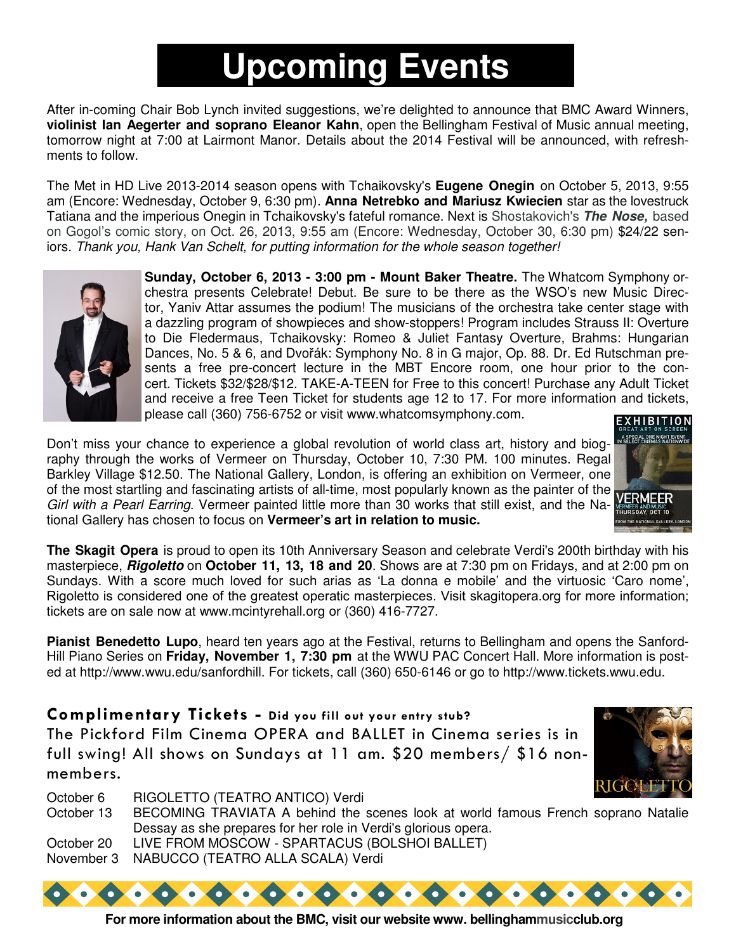# **Upcoming Events**

After in-coming Chair Bob Lynch invited suggestions, we're delighted to announce that BMC Award Winners, **violinist Ian Aegerter and soprano Eleanor Kahn**, open the Bellingham Festival of Music annual meeting, tomorrow night at 7:00 at Lairmont Manor. Details about the 2014 Festival will be announced, with refreshments to follow.

The Met in HD Live 2013-2014 season opens with Tchaikovsky's **Eugene Onegin** on October 5, 2013, 9:55 am (Encore: Wednesday, October 9, 6:30 pm). **Anna Netrebko and Mariusz Kwiecien** star as the lovestruck Tatiana and the imperious Onegin in Tchaikovsky's fateful romance. Next is Shostakovich's **The Nose,** based on Gogol's comic story, on Oct. 26, 2013, 9:55 am (Encore: Wednesday, October 30, 6:30 pm) \$24/22 seniors. Thank you, Hank Van Schelt, for putting information for the whole season together!



**Sunday, October 6, 2013 - 3:00 pm - Mount Baker Theatre.** The Whatcom Symphony orchestra presents Celebrate! Debut. Be sure to be there as the WSO's new Music Director, Yaniv Attar assumes the podium! The musicians of the orchestra take center stage with a dazzling program of showpieces and show-stoppers! Program includes Strauss II: Overture to Die Fledermaus, Tchaikovsky: Romeo & Juliet Fantasy Overture, Brahms: Hungarian Dances, No. 5 & 6, and Dvořák: Symphony No. 8 in G major, Op. 88. Dr. Ed Rutschman presents a free pre-concert lecture in the MBT Encore room, one hour prior to the concert. Tickets \$32/\$28/\$12. TAKE-A-TEEN for Free to this concert! Purchase any Adult Ticket and receive a free Teen Ticket for students age 12 to 17. For more information and tickets, please call (360) 756-6752 or visit www.whatcomsymphony.com.

Don't miss your chance to experience a global revolution of world class art, history and biography through the works of Vermeer on Thursday, October 10, 7:30 PM. 100 minutes. Regal Barkley Village \$12.50. The National Gallery, London, is offering an exhibition on Vermeer, one Darliey Village WILLOW. The Hallows Sales, Forces, 2008. The painter of the **WERMEE**:<br>of the most startling and fascinating artists of all-time, most popularly known as the painter of the Girl with a Pearl Earring. Vermeer painted little more than 30 works that still exist, and the National Gallery has chosen to focus on **Vermeer's art in relation to music.**



**The Skagit Opera** is proud to open its 10th Anniversary Season and celebrate Verdi's 200th birthday with his masterpiece, **Rigoletto** on **October 11, 13, 18 and 20**. Shows are at 7:30 pm on Fridays, and at 2:00 pm on Sundays. With a score much loved for such arias as 'La donna e mobile' and the virtuosic 'Caro nome', Rigoletto is considered one of the greatest operatic masterpieces. Visit skagitopera.org for more information; tickets are on sale now at www.mcintyrehall.org or (360) 416-7727.

**Pianist Benedetto Lupo**, heard ten years ago at the Festival, returns to Bellingham and opens the Sanford-Hill Piano Series on **Friday, November 1, 7:30 pm** at the WWU PAC Concert Hall. More information is posted at http://www.wwu.edu/sanfordhill. For tickets, call (360) 650-6146 or go to http://www.tickets.wwu.edu.

Complimentary Tickets - Did you fill out your entry stub? The Pickford Film Cinema OPERA and BALLET in Cinema series is in full swing! All shows on Sundays at 11 am. \$20 members/ \$16 nonmembers.



October 6 RIGOLETTO (TEATRO ANTICO) Verdi October 13 BECOMING TRAVIATA A behind the scenes look at world famous French soprano Natalie Dessay as she prepares for her role in Verdi's glorious opera. October 20 LIVE FROM MOSCOW - SPARTACUS (BOLSHOI BALLET) November 3 NABUCCO (TEATRO ALLA SCALA) Verdi

**For more information about the BMC, visit our website www. bellinghammusicclub.org**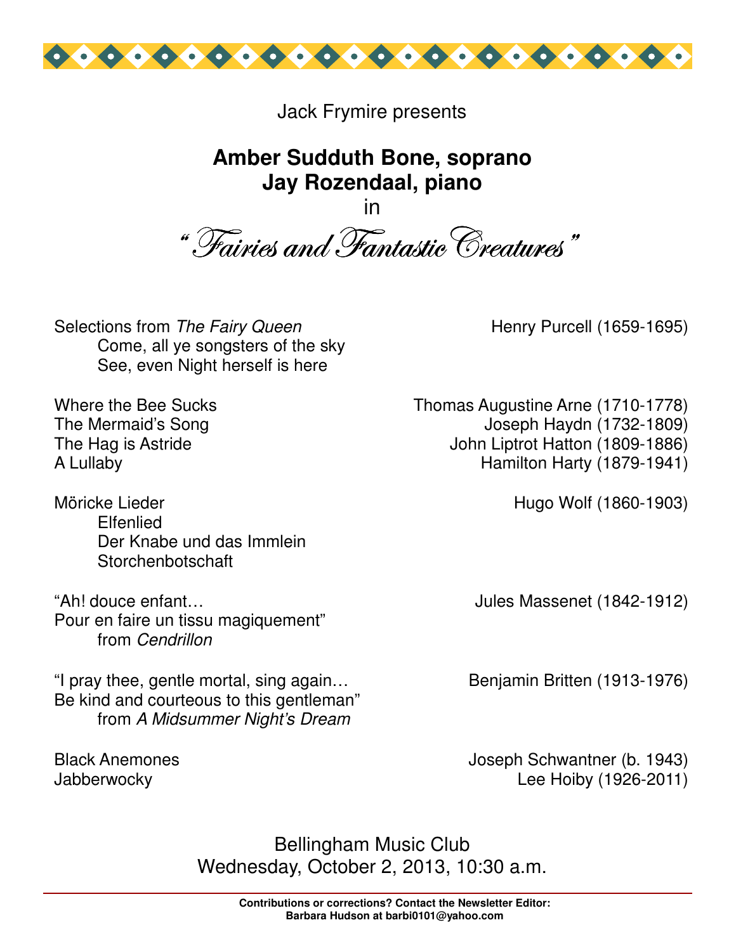

Jack Frymire presents

### **Amber Sudduth Bone, soprano Jay Rozendaal, piano**

in "Tairies and Fantastic Creatures"

Selections from The Fairy Queen Come, all ye songsters of the sky See, even Night herself is here

Where the Bee Sucks The Mermaid's Song The Hag is Astride A Lullaby

Möricke Lieder **Elfenlied** Der Knabe und das Immlein **Storchenbotschaft** 

"Ah! douce enfant… Pour en faire un tissu magiquement" from Cendrillon

"I pray thee, gentle mortal, sing again… Be kind and courteous to this gentleman" from A Midsummer Night's Dream

Black Anemones **Jabberwocky** 

Henry Purcell (1659-1695)

Thomas Augustine Arne (1710-1778) Joseph Haydn (1732-1809) John Liptrot Hatton (1809-1886) Hamilton Harty (1879-1941)

Hugo Wolf (1860-1903)

Jules Massenet (1842-1912)

Benjamin Britten (1913-1976)

Joseph Schwantner (b. 1943) Lee Hoiby (1926-2011)

Bellingham Music Club Wednesday, October 2, 2013, 10:30 a.m.